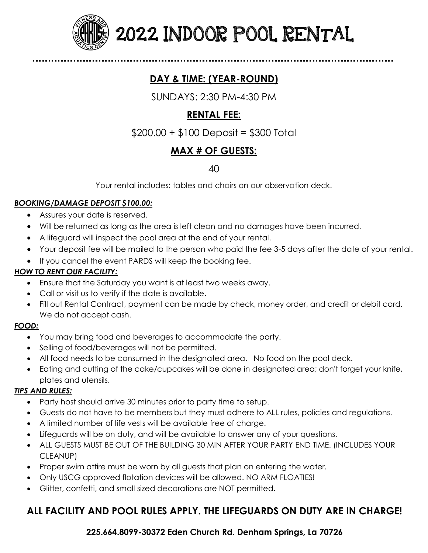

2022 INDOOR POOL RENTAL

## **DAY & TIME: (YEAR-ROUND)**

SUNDAYS: 2:30 PM-4:30 PM

## **RENTAL FEE:**

\$200.00 + \$100 Deposit = \$300 Total

## **MAX # OF GUESTS:**

### 40

Your rental includes: tables and chairs on our observation deck.

#### *BOOKING/DAMAGE DEPOSIT \$100.00:*

- Assures your date is reserved.
- Will be returned as long as the area is left clean and no damages have been incurred.
- A lifeguard will inspect the pool area at the end of your rental.
- Your deposit fee will be mailed to the person who paid the fee 3-5 days after the date of your rental.
- If you cancel the event PARDS will keep the booking fee.

#### *HOW TO RENT OUR FACILITY:*

- Ensure that the Saturday you want is at least two weeks away.
- Call or visit us to verify if the date is available.
- Fill out Rental Contract, payment can be made by check, money order, and credit or debit card. We do not accept cash.

#### *FOOD:*

- You may bring food and beverages to accommodate the party.
- Selling of food/beverages will not be permitted.
- All food needs to be consumed in the designated area. No food on the pool deck.
- Eating and cutting of the cake/cupcakes will be done in designated area; don't forget your knife, plates and utensils.

#### *TIPS AND RULES:*

- Party host should arrive 30 minutes prior to party time to setup.
- Guests do not have to be members but they must adhere to ALL rules, policies and regulations.
- A limited number of life vests will be available free of charge.
- Lifeguards will be on duty, and will be available to answer any of your questions.
- ALL GUESTS MUST BE OUT OF THE BUILDING 30 MIN AFTER YOUR PARTY END TIME. (INCLUDES YOUR CLEANUP)
- Proper swim attire must be worn by all guests that plan on entering the water.
- Only USCG approved flotation devices will be allowed. NO ARM FLOATIES!
- Glitter, confetti, and small sized decorations are NOT permitted.

## **ALL FACILITY AND POOL RULES APPLY. THE LIFEGUARDS ON DUTY ARE IN CHARGE!**

**225.664.8099-30372 Eden Church Rd. Denham Springs, La 70726**